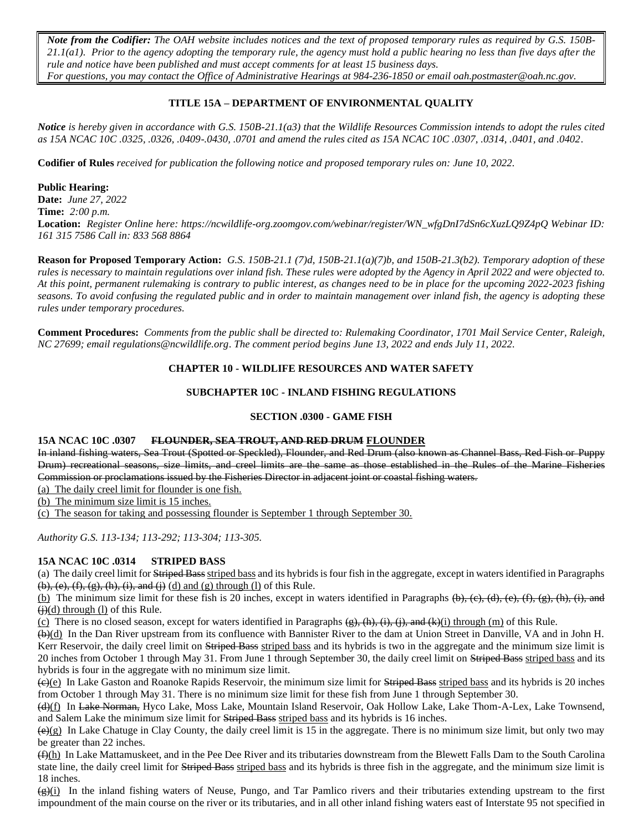*Note from the Codifier: The OAH website includes notices and the text of proposed temporary rules as required by G.S. 150B-21.1(a1). Prior to the agency adopting the temporary rule, the agency must hold a public hearing no less than five days after the rule and notice have been published and must accept comments for at least 15 business days. For questions, you may contact the Office of Administrative Hearings at 984-236-1850 or email [oah.postmaster@o](mailto:oah.postmaster@ncmail.net)ah.nc.gov.*

## **TITLE 15A – DEPARTMENT OF ENVIRONMENTAL QUALITY**

*Notice is hereby given in accordance with G.S. 150B-21.1(a3) that the Wildlife Resources Commission intends to adopt the rules cited as 15A NCAC 10C .0325, .0326, .0409-.0430, .0701 and amend the rules cited as 15A NCAC 10C .0307, .0314, .0401, and .0402.*

**Codifier of Rules** *received for publication the following notice and proposed temporary rules on: June 10, 2022.*

## **Public Hearing:**

**Date:** *June 27, 2022* **Time:** *2:00 p.m.* **Location:** *Register Online here: https://ncwildlife-org.zoomgov.com/webinar/register/WN\_wfgDnI7dSn6cXuzLQ9Z4pQ Webinar ID: 161 315 7586 Call in: 833 568 8864*

**Reason for Proposed Temporary Action:** *G.S. 150B-21.1 (7)d, 150B-21.1(a)(7)b, and 150B-21.3(b2). Temporary adoption of these rules is necessary to maintain regulations over inland fish. These rules were adopted by the Agency in April 2022 and were objected to. At this point, permanent rulemaking is contrary to public interest, as changes need to be in place for the upcoming 2022-2023 fishing seasons. To avoid confusing the regulated public and in order to maintain management over inland fish, the agency is adopting these rules under temporary procedures.*

**Comment Procedures:** *Comments from the public shall be directed to: Rulemaking Coordinator, 1701 Mail Service Center, Raleigh, NC 27699; email regulations@ncwildlife.org*. *The comment period begins June 13, 2022 and ends July 11, 2022.*

## **CHAPTER 10 - WILDLIFE RESOURCES AND WATER SAFETY**

## **SUBCHAPTER 10C - INLAND FISHING REGULATIONS**

### **SECTION .0300 - GAME FISH**

#### **15A NCAC 10C .0307 FLOUNDER, SEA TROUT, AND RED DRUM FLOUNDER**

In inland fishing waters, Sea Trout (Spotted or Speckled), Flounder, and Red Drum (also known as Channel Bass, Red Fish or Puppy Drum) recreational seasons, size limits, and creel limits are the same as those established in the Rules of the Marine Fisheries Commission or proclamations issued by the Fisheries Director in adjacent joint or coastal fishing waters.

(a) The daily creel limit for flounder is one fish.

(b) The minimum size limit is 15 inches.

(c) The season for taking and possessing flounder is September 1 through September 30.

*Authority G.S. 113-134; 113-292; 113-304; 113-305.*

## **15A NCAC 10C .0314 STRIPED BASS**

(a) The daily creel limit for Striped Bass striped bass and its hybrids is four fish in the aggregate, except in waters identified in Paragraphs  $(b)$ ,  $(e)$ ,  $(f)$ ,  $(g)$ ,  $(h)$ ,  $(i)$ , and  $(j)$   $(d)$  and  $(g)$  through  $(l)$  of this Rule.

(b) The minimum size limit for these fish is 20 inches, except in waters identified in Paragraphs  $(\theta)$ ,  $(\epsilon)$ ,  $(\epsilon)$ ,  $(\epsilon)$ ,  $(\epsilon)$ ,  $(\epsilon)$ ,  $(\epsilon)$ ,  $(\epsilon)$ ,  $(\epsilon)$ ,  $(\epsilon)$ ,  $(\epsilon)$ ,  $(\epsilon)$ ,  $(\epsilon)$ ,  $(\epsilon)$ ,  $(\epsilon)$ ,  $(\epsilon)$ ,  $(\epsilon)$ ,  $(\epsilon)$  $\left(\frac{1}{2}\right)(d)$  through (1) of this Rule.

(c) There is no closed season, except for waters identified in Paragraphs  $(g)$ ,  $(h)$ ,  $(i)$ ,  $(i)$ ,  $(i)$ , and  $(k)(i)$  through  $(m)$  of this Rule.

(b)(d) In the Dan River upstream from its confluence with Bannister River to the dam at Union Street in Danville, VA and in John H. Kerr Reservoir, the daily creel limit on Striped Bass striped bass and its hybrids is two in the aggregate and the minimum size limit is 20 inches from October 1 through May 31. From June 1 through September 30, the daily creel limit on Striped Bass striped bass and its hybrids is four in the aggregate with no minimum size limit.

(c)(e) In Lake Gaston and Roanoke Rapids Reservoir, the minimum size limit for Striped Bass striped bass and its hybrids is 20 inches from October 1 through May 31. There is no minimum size limit for these fish from June 1 through September 30.

(d)(f) In Lake Norman, Hyco Lake, Moss Lake, Mountain Island Reservoir, Oak Hollow Lake, Lake Thom-A-Lex, Lake Townsend, and Salem Lake the minimum size limit for Striped Bass striped bass and its hybrids is 16 inches.

 $(\theta)(g)$  In Lake Chatuge in Clay County, the daily creel limit is 15 in the aggregate. There is no minimum size limit, but only two may be greater than 22 inches.

 $(f)(h)$  In Lake Mattamuskeet, and in the Pee Dee River and its tributaries downstream from the Blewett Falls Dam to the South Carolina state line, the daily creel limit for Striped Bass striped bass and its hybrids is three fish in the aggregate, and the minimum size limit is 18 inches.

 $\frac{q(4)(i)}{r}$  In the inland fishing waters of Neuse, Pungo, and Tar Pamlico rivers and their tributaries extending upstream to the first impoundment of the main course on the river or its tributaries, and in all other inland fishing waters east of Interstate 95 not specified in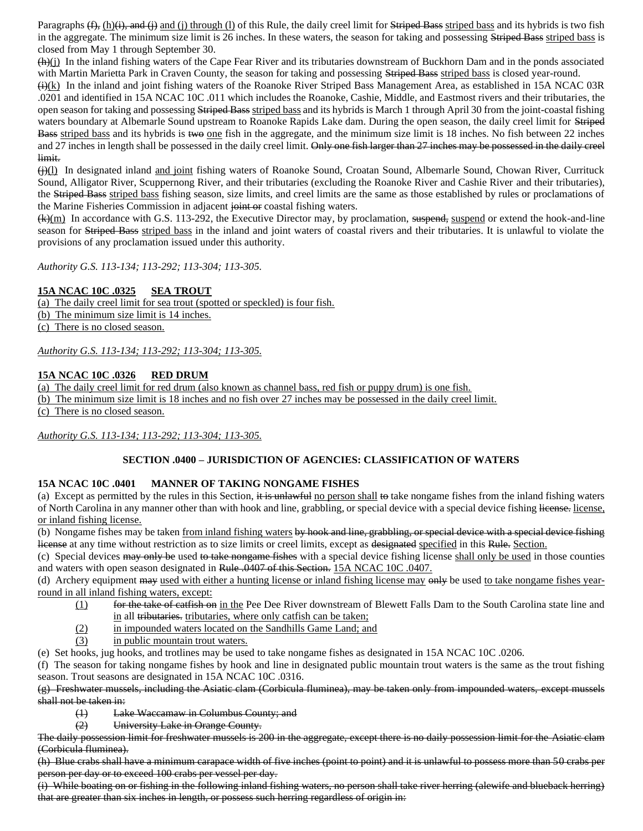Paragraphs  $(f)$ , (h) $(i)$ , and  $(i)$  and (i) through (l) of this Rule, the daily creel limit for Striped Bass striped bass and its hybrids is two fish in the aggregate. The minimum size limit is 26 inches. In these waters, the season for taking and possessing Striped Bass striped bass is closed from May 1 through September 30.

 $(h)(j)$  In the inland fishing waters of the Cape Fear River and its tributaries downstream of Buckhorn Dam and in the ponds associated with Martin Marietta Park in Craven County, the season for taking and possessing Striped Bass striped bass is closed year-round.

 $\left(\frac{1}{k}\right)$  In the inland and joint fishing waters of the Roanoke River Striped Bass Management Area, as established in 15A NCAC 03R .0201 and identified in 15A NCAC 10C .011 which includes the Roanoke, Cashie, Middle, and Eastmost rivers and their tributaries, the open season for taking and possessing Striped Bass striped bass and its hybrids is March 1 through April 30 from the joint-coastal fishing waters boundary at Albemarle Sound upstream to Roanoke Rapids Lake dam. During the open season, the daily creel limit for Striped Bass striped bass and its hybrids is two one fish in the aggregate, and the minimum size limit is 18 inches. No fish between 22 inches and 27 inches in length shall be possessed in the daily creel limit. Only one fish larger than 27 inches may be possessed in the daily creel limit.

(i)(I) In designated inland and joint fishing waters of Roanoke Sound, Croatan Sound, Albemarle Sound, Chowan River, Currituck Sound, Alligator River, Scuppernong River, and their tributaries (excluding the Roanoke River and Cashie River and their tributaries), the Striped Bass striped bass fishing season, size limits, and creel limits are the same as those established by rules or proclamations of the Marine Fisheries Commission in adjacent joint or coastal fishing waters.

 $(k)(m)$  In accordance with G.S. 113-292, the Executive Director may, by proclamation, suspend, suspend or extend the hook-and-line season for Striped Bass striped bass in the inland and joint waters of coastal rivers and their tributaries. It is unlawful to violate the provisions of any proclamation issued under this authority.

*Authority G.S. 113-134; 113-292; 113-304; 113-305.*

## **15A NCAC 10C .0325 SEA TROUT**

(a) The daily creel limit for sea trout (spotted or speckled) is four fish. (b) The minimum size limit is 14 inches.

(c) There is no closed season.

*Authority G.S. 113-134; 113-292; 113-304; 113-305.*

# **15A NCAC 10C .0326 RED DRUM**

(a) The daily creel limit for red drum (also known as channel bass, red fish or puppy drum) is one fish.

(b) The minimum size limit is 18 inches and no fish over 27 inches may be possessed in the daily creel limit.

(c) There is no closed season.

*Authority G.S. 113-134; 113-292; 113-304; 113-305.*

#### **SECTION .0400 – JURISDICTION OF AGENCIES: CLASSIFICATION OF WATERS**

#### **15A NCAC 10C .0401 MANNER OF TAKING NONGAME FISHES**

(a) Except as permitted by the rules in this Section, it is unlawful no person shall to take nongame fishes from the inland fishing waters of North Carolina in any manner other than with hook and line, grabbling, or special device with a special device fishing license, license, or inland fishing license.

(b) Nongame fishes may be taken from inland fishing waters by hook and line, grabbling, or special device with a special device fishing license at any time without restriction as to size limits or creel limits, except as designated specified in this Rule. Section.

(c) Special devices may only be used to take nongame fishes with a special device fishing license shall only be used in those counties and waters with open season designated in Rule .0407 of this Section. 15A NCAC 10C .0407.

(d) Archery equipment may used with either a hunting license or inland fishing license may only be used to take nongame fishes yearround in all inland fishing waters, except:

- (1) for the take of catfish on in the Pee Dee River downstream of Blewett Falls Dam to the South Carolina state line and in all tributaries. tributaries, where only catfish can be taken;
- (2) in impounded waters located on the Sandhills Game Land; and
- (3) in public mountain trout waters.

(e) Set hooks, jug hooks, and trotlines may be used to take nongame fishes as designated in 15A NCAC 10C .0206.

(f) The season for taking nongame fishes by hook and line in designated public mountain trout waters is the same as the trout fishing season. Trout seasons are designated in 15A NCAC 10C .0316.

(g) Freshwater mussels, including the Asiatic clam (Corbicula fluminea), may be taken only from impounded waters, except mussels shall not be taken in:

- (1) Lake Waccamaw in Columbus County; and
- (2) University Lake in Orange County.

The daily possession limit for freshwater mussels is 200 in the aggregate, except there is no daily possession limit for the Asiatic clam (Corbicula fluminea).

(h) Blue crabs shall have a minimum carapace width of five inches (point to point) and it is unlawful to possess more than 50 crabs per person per day or to exceed 100 crabs per vessel per day.

(i) While boating on or fishing in the following inland fishing waters, no person shall take river herring (alewife and blueback herring) that are greater than six inches in length, or possess such herring regardless of origin in: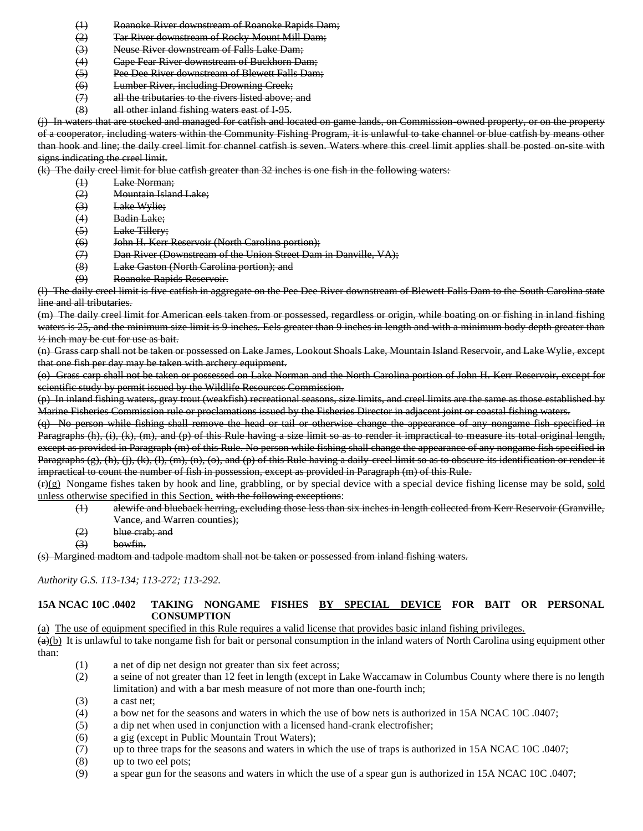- (1) Roanoke River downstream of Roanoke Rapids Dam;
- (2) Tar River downstream of Rocky Mount Mill Dam;
- (3) Neuse River downstream of Falls Lake Dam;
- (4) Cape Fear River downstream of Buckhorn Dam;
- (5) Pee Dee River downstream of Blewett Falls Dam;
- (6) Lumber River, including Drowning Creek;
- (7) all the tributaries to the rivers listed above; and
- (8) all other inland fishing waters east of I-95.

(j) In waters that are stocked and managed for catfish and located on game lands, on Commission-owned property, or on the property of a cooperator, including waters within the Community Fishing Program, it is unlawful to take channel or blue catfish by means other than hook and line; the daily creel limit for channel catfish is seven. Waters where this creel limit applies shall be posted on-site with signs indicating the creel limit.

(k) The daily creel limit for blue catfish greater than 32 inches is one fish in the following waters:

- (1) Lake Norman;
- (2) Mountain Island Lake;
- (3) Lake Wylie;
- (4) Badin Lake;
- (5) Lake Tillery;
- (6) John H. Kerr Reservoir (North Carolina portion);
- (7) Dan River (Downstream of the Union Street Dam in Danville, VA);
- (8) Lake Gaston (North Carolina portion); and
- (9) Roanoke Rapids Reservoir.

(l) The daily creel limit is five catfish in aggregate on the Pee Dee River downstream of Blewett Falls Dam to the South Carolina state line and all tributaries.

(m) The daily creel limit for American eels taken from or possessed, regardless or origin, while boating on or fishing in inland fishing waters is 25, and the minimum size limit is 9 inches. Eels greater than 9 inches in length and with a minimum body depth greater than ½ inch may be cut for use as bait.

(n) Grass carp shall not be taken or possessed on Lake James, Lookout Shoals Lake, Mountain Island Reservoir, and Lake Wylie, except that one fish per day may be taken with archery equipment.

(o) Grass carp shall not be taken or possessed on Lake Norman and the North Carolina portion of John H. Kerr Reservoir, except for scientific study by permit issued by the Wildlife Resources Commission.

(p) In inland fishing waters, gray trout (weakfish) recreational seasons, size limits, and creel limits are the same as those established by Marine Fisheries Commission rule or proclamations issued by the Fisheries Director in adjacent joint or coastal fishing waters.

(q) No person while fishing shall remove the head or tail or otherwise change the appearance of any nongame fish specified in Paragraphs (h), (i), (k), (m), and (p) of this Rule having a size limit so as to render it impractical to measure its total original length, except as provided in Paragraph (m) of this Rule. No person while fishing shall change the appearance of any nongame fish specified in Paragraphs (g), (h), (j), (k), (l), (m), (n), (o), and (p) of this Rule having a daily creel limit so as to obscure its identification or render it impractical to count the number of fish in possession, except as provided in Paragraph (m) of this Rule.

 $(r)(g)$  Nongame fishes taken by hook and line, grabbling, or by special device with a special device fishing license may be sold, sold unless otherwise specified in this Section. with the following exceptions:

- (1) alewife and blueback herring, excluding those less than six inches in length collected from Kerr Reservoir (Granville, Vance, and Warren counties);
- (2) blue crab; and
- $(3)$  bowfin.

(s) Margined madtom and tadpole madtom shall not be taken or possessed from inland fishing waters.

*Authority G.S. 113-134; 113-272; 113-292.*

#### **15A NCAC 10C .0402 TAKING NONGAME FISHES BY SPECIAL DEVICE FOR BAIT OR PERSONAL CONSUMPTION**

(a) The use of equipment specified in this Rule requires a valid license that provides basic inland fishing privileges.

 $(a)(b)$  It is unlawful to take nongame fish for bait or personal consumption in the inland waters of North Carolina using equipment other than:

- (1) a net of dip net design not greater than six feet across;
- (2) a seine of not greater than 12 feet in length (except in Lake Waccamaw in Columbus County where there is no length limitation) and with a bar mesh measure of not more than one-fourth inch;
- (3) a cast net;
- (4) a bow net for the seasons and waters in which the use of bow nets is authorized in 15A NCAC 10C .0407;
- (5) a dip net when used in conjunction with a licensed hand-crank electrofisher;
- (6) a gig (except in Public Mountain Trout Waters);
- (7) up to three traps for the seasons and waters in which the use of traps is authorized in 15A NCAC 10C .0407;
- (8) up to two eel pots;
- (9) a spear gun for the seasons and waters in which the use of a spear gun is authorized in 15A NCAC 10C .0407;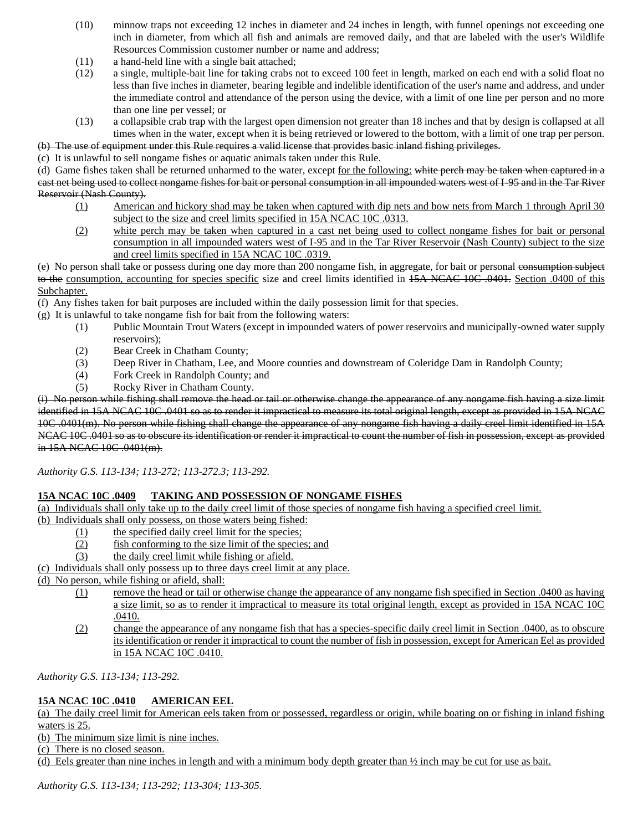- (10) minnow traps not exceeding 12 inches in diameter and 24 inches in length, with funnel openings not exceeding one inch in diameter, from which all fish and animals are removed daily, and that are labeled with the user's Wildlife Resources Commission customer number or name and address;
- (11) a hand-held line with a single bait attached;
- (12) a single, multiple-bait line for taking crabs not to exceed 100 feet in length, marked on each end with a solid float no less than five inches in diameter, bearing legible and indelible identification of the user's name and address, and under the immediate control and attendance of the person using the device, with a limit of one line per person and no more than one line per vessel; or
- (13) a collapsible crab trap with the largest open dimension not greater than 18 inches and that by design is collapsed at all times when in the water, except when it is being retrieved or lowered to the bottom, with a limit of one trap per person.

(b) The use of equipment under this Rule requires a valid license that provides basic inland fishing privileges.

(c) It is unlawful to sell nongame fishes or aquatic animals taken under this Rule.

(d) Game fishes taken shall be returned unharmed to the water, except for the following: white perch may be taken when captured in a cast net being used to collect nongame fishes for bait or personal consumption in all impounded waters west of I-95 and in the Tar River Reservoir (Nash County).

- (1) American and hickory shad may be taken when captured with dip nets and bow nets from March 1 through April 30 subject to the size and creel limits specified in 15A NCAC 10C .0313.
- (2) white perch may be taken when captured in a cast net being used to collect nongame fishes for bait or personal consumption in all impounded waters west of I-95 and in the Tar River Reservoir (Nash County) subject to the size and creel limits specified in 15A NCAC 10C .0319.

(e) No person shall take or possess during one day more than 200 nongame fish, in aggregate, for bait or personal consumption subject to the consumption, accounting for species specific size and creel limits identified in 15A NCAC 10C .0401. Section .0400 of this Subchapter.

(f) Any fishes taken for bait purposes are included within the daily possession limit for that species.

(g) It is unlawful to take nongame fish for bait from the following waters:

- (1) Public Mountain Trout Waters (except in impounded waters of power reservoirs and municipally-owned water supply reservoirs);
- (2) Bear Creek in Chatham County;
- (3) Deep River in Chatham, Lee, and Moore counties and downstream of Coleridge Dam in Randolph County;
- (4) Fork Creek in Randolph County; and
- (5) Rocky River in Chatham County.

(i) No person while fishing shall remove the head or tail or otherwise change the appearance of any nongame fish having a size limit identified in 15A NCAC 10C .0401 so as to render it impractical to measure its total original length, except as provided in 15A NCAC 10C .0401(m). No person while fishing shall change the appearance of any nongame fish having a daily creel limit identified in 15A NCAC 10C .0401 so as to obscure its identification or render it impractical to count the number of fish in possession, except as provided in 15A NCAC 10C .0401(m).

*Authority G.S. 113-134; 113-272; 113-272.3; 113-292.*

#### **15A NCAC 10C .0409 TAKING AND POSSESSION OF NONGAME FISHES**

(a) Individuals shall only take up to the daily creel limit of those species of nongame fish having a specified creel limit. (b) Individuals shall only possess, on those waters being fished:

- (1) the specified daily creel limit for the species;
- (2) fish conforming to the size limit of the species; and
- (3) the daily creel limit while fishing or afield.

(c) Individuals shall only possess up to three days creel limit at any place.

(d) No person, while fishing or afield, shall:

- (1) remove the head or tail or otherwise change the appearance of any nongame fish specified in Section .0400 as having a size limit, so as to render it impractical to measure its total original length, except as provided in 15A NCAC 10C .0410.
- (2) change the appearance of any nongame fish that has a species-specific daily creel limit in Section .0400, as to obscure its identification or render it impractical to count the number of fish in possession, except for American Eel as provided in 15A NCAC 10C .0410.

*Authority G.S. 113-134; 113-292.*

## **15A NCAC 10C .0410 AMERICAN EEL**

(a) The daily creel limit for American eels taken from or possessed, regardless or origin, while boating on or fishing in inland fishing waters is 25.

(b) The minimum size limit is nine inches.

(c) There is no closed season.

(d) Eels greater than nine inches in length and with a minimum body depth greater than ½ inch may be cut for use as bait.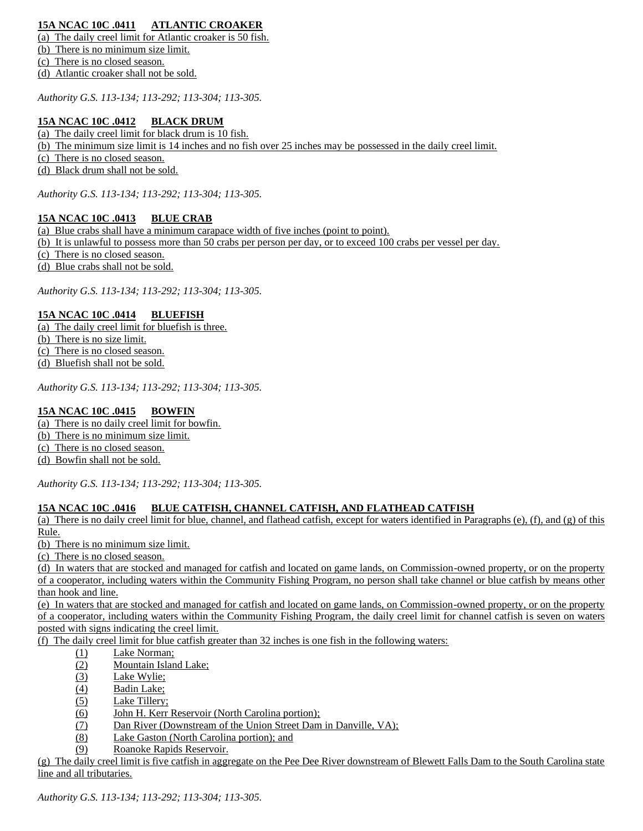# **15A NCAC 10C .0411 ATLANTIC CROAKER**

(a) The daily creel limit for Atlantic croaker is 50 fish. (b) There is no minimum size limit. (c) There is no closed season.

(d) Atlantic croaker shall not be sold.

*Authority G.S. 113-134; 113-292; 113-304; 113-305.*

## **15A NCAC 10C .0412 BLACK DRUM**

(a) The daily creel limit for black drum is 10 fish.

(b) The minimum size limit is 14 inches and no fish over 25 inches may be possessed in the daily creel limit.

(c) There is no closed season.

(d) Black drum shall not be sold.

*Authority G.S. 113-134; 113-292; 113-304; 113-305.*

#### **15A NCAC 10C .0413 BLUE CRAB**

(a) Blue crabs shall have a minimum carapace width of five inches (point to point).

(b) It is unlawful to possess more than 50 crabs per person per day, or to exceed 100 crabs per vessel per day.

(c) There is no closed season.

(d) Blue crabs shall not be sold.

*Authority G.S. 113-134; 113-292; 113-304; 113-305.*

## **15A NCAC 10C .0414 BLUEFISH**

(a) The daily creel limit for bluefish is three. (b) There is no size limit. (c) There is no closed season. (d) Bluefish shall not be sold.

*Authority G.S. 113-134; 113-292; 113-304; 113-305.*

## **15A NCAC 10C .0415 BOWFIN**

(a) There is no daily creel limit for bowfin. (b) There is no minimum size limit.

(c) There is no closed season.

(d) Bowfin shall not be sold.

*Authority G.S. 113-134; 113-292; 113-304; 113-305.*

#### **15A NCAC 10C .0416 BLUE CATFISH, CHANNEL CATFISH, AND FLATHEAD CATFISH**

(a) There is no daily creel limit for blue, channel, and flathead catfish, except for waters identified in Paragraphs (e), (f), and (g) of this Rule.

(b) There is no minimum size limit.

(c) There is no closed season.

(d) In waters that are stocked and managed for catfish and located on game lands, on Commission-owned property, or on the property of a cooperator, including waters within the Community Fishing Program, no person shall take channel or blue catfish by means other than hook and line.

(e) In waters that are stocked and managed for catfish and located on game lands, on Commission-owned property, or on the property of a cooperator, including waters within the Community Fishing Program, the daily creel limit for channel catfish is seven on waters posted with signs indicating the creel limit.

(f) The daily creel limit for blue catfish greater than 32 inches is one fish in the following waters:

- (1) Lake Norman;
- (2) Mountain Island Lake;
- (3) Lake Wylie;
- (4) Badin Lake;
- (5) Lake Tillery;
- (6) John H. Kerr Reservoir (North Carolina portion);
- (7) Dan River (Downstream of the Union Street Dam in Danville, VA);
- (8) Lake Gaston (North Carolina portion); and
- (9) Roanoke Rapids Reservoir.

(g) The daily creel limit is five catfish in aggregate on the Pee Dee River downstream of Blewett Falls Dam to the South Carolina state line and all tributaries.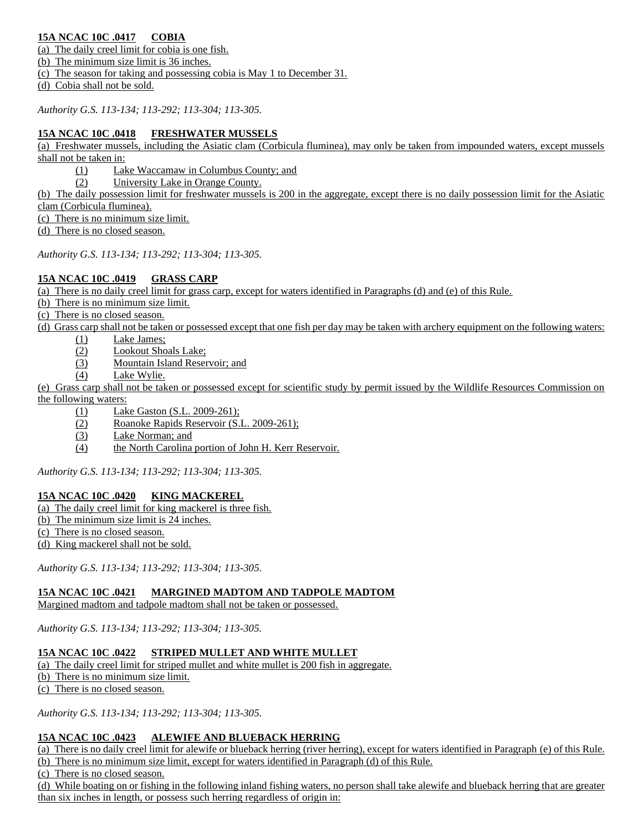# **15A NCAC 10C .0417 COBIA**

(a) The daily creel limit for cobia is one fish.

(b) The minimum size limit is 36 inches.

(c) The season for taking and possessing cobia is May 1 to December 31.

(d) Cobia shall not be sold.

*Authority G.S. 113-134; 113-292; 113-304; 113-305.*

# **15A NCAC 10C .0418 FRESHWATER MUSSELS**

(a) Freshwater mussels, including the Asiatic clam (Corbicula fluminea), may only be taken from impounded waters, except mussels shall not be taken in:

(1) Lake Waccamaw in Columbus County; and

(2) University Lake in Orange County.

(b) The daily possession limit for freshwater mussels is 200 in the aggregate, except there is no daily possession limit for the Asiatic clam (Corbicula fluminea).

(c) There is no minimum size limit.

(d) There is no closed season.

*Authority G.S. 113-134; 113-292; 113-304; 113-305.*

## **15A NCAC 10C .0419 GRASS CARP**

(a) There is no daily creel limit for grass carp, except for waters identified in Paragraphs (d) and (e) of this Rule.

(b) There is no minimum size limit.

(c) There is no closed season.

(d) Grass carp shall not be taken or possessed except that one fish per day may be taken with archery equipment on the following waters:

- (1) Lake James;
	- (2) Lookout Shoals Lake;
	- (3) Mountain Island Reservoir; and
	- (4) Lake Wylie.

(e) Grass carp shall not be taken or possessed except for scientific study by permit issued by the Wildlife Resources Commission on the following waters:

- (1) Lake Gaston (S.L. 2009-261);
	- (2) Roanoke Rapids Reservoir (S.L. 2009-261);
	- (3) Lake Norman; and
	- (4) the North Carolina portion of John H. Kerr Reservoir.

*Authority G.S. 113-134; 113-292; 113-304; 113-305.*

## **15A NCAC 10C .0420 KING MACKEREL**

- (a) The daily creel limit for king mackerel is three fish.
- (b) The minimum size limit is 24 inches.
- (c) There is no closed season.
- (d) King mackerel shall not be sold.

*Authority G.S. 113-134; 113-292; 113-304; 113-305.*

# **15A NCAC 10C .0421 MARGINED MADTOM AND TADPOLE MADTOM**

Margined madtom and tadpole madtom shall not be taken or possessed.

*Authority G.S. 113-134; 113-292; 113-304; 113-305.*

# **15A NCAC 10C .0422 STRIPED MULLET AND WHITE MULLET**

(a) The daily creel limit for striped mullet and white mullet is 200 fish in aggregate.

(b) There is no minimum size limit.

(c) There is no closed season.

*Authority G.S. 113-134; 113-292; 113-304; 113-305.*

# **15A NCAC 10C .0423 ALEWIFE AND BLUEBACK HERRING**

(a) There is no daily creel limit for alewife or blueback herring (river herring), except for waters identified in Paragraph (e) of this Rule. (b) There is no minimum size limit, except for waters identified in Paragraph (d) of this Rule.

(c) There is no closed season.

(d) While boating on or fishing in the following inland fishing waters, no person shall take alewife and blueback herring that are greater than six inches in length, or possess such herring regardless of origin in: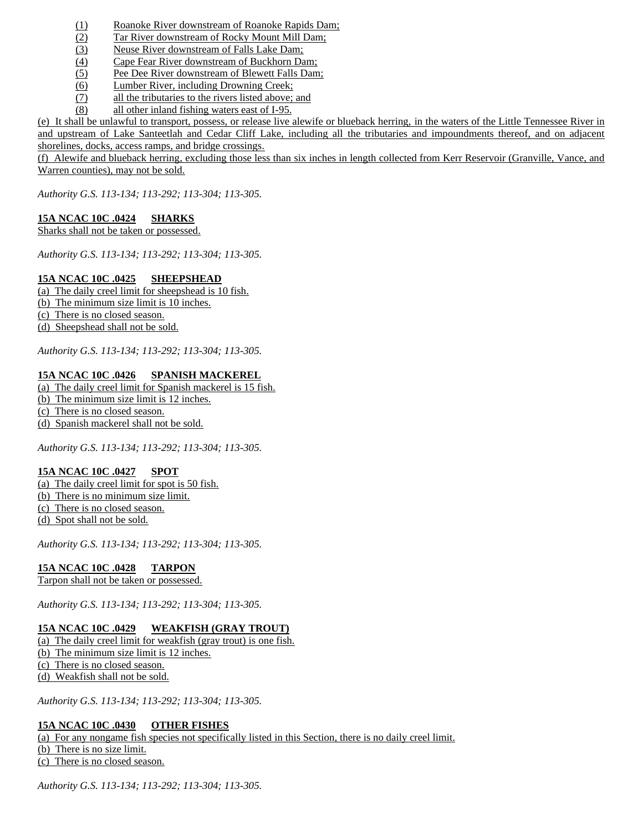- (1) Roanoke River downstream of Roanoke Rapids Dam;
- (2) Tar River downstream of Rocky Mount Mill Dam;
- (3) Neuse River downstream of Falls Lake Dam;
- (4) Cape Fear River downstream of Buckhorn Dam;
- (5) Pee Dee River downstream of Blewett Falls Dam;
- (6) Lumber River, including Drowning Creek;
- (7) all the tributaries to the rivers listed above; and
- (8) all other inland fishing waters east of I-95.

(e) It shall be unlawful to transport, possess, or release live alewife or blueback herring, in the waters of the Little Tennessee River in and upstream of Lake Santeetlah and Cedar Cliff Lake, including all the tributaries and impoundments thereof, and on adjacent shorelines, docks, access ramps, and bridge crossings.

(f) Alewife and blueback herring, excluding those less than six inches in length collected from Kerr Reservoir (Granville, Vance, and Warren counties), may not be sold.

*Authority G.S. 113-134; 113-292; 113-304; 113-305.*

## **15A NCAC 10C .0424 SHARKS**

Sharks shall not be taken or possessed.

*Authority G.S. 113-134; 113-292; 113-304; 113-305.*

## **15A NCAC 10C .0425 SHEEPSHEAD**

(a) The daily creel limit for sheepshead is 10 fish. (b) The minimum size limit is 10 inches.

(c) There is no closed season.

(d) Sheepshead shall not be sold.

*Authority G.S. 113-134; 113-292; 113-304; 113-305.*

## **15A NCAC 10C .0426 SPANISH MACKEREL**

(a) The daily creel limit for Spanish mackerel is 15 fish.

(b) The minimum size limit is 12 inches.

(c) There is no closed season.

(d) Spanish mackerel shall not be sold.

*Authority G.S. 113-134; 113-292; 113-304; 113-305.*

## **15A NCAC 10C .0427 SPOT**

(a) The daily creel limit for spot is 50 fish. (b) There is no minimum size limit. (c) There is no closed season. (d) Spot shall not be sold.

*Authority G.S. 113-134; 113-292; 113-304; 113-305.*

## **15A NCAC 10C .0428 TARPON**

Tarpon shall not be taken or possessed.

*Authority G.S. 113-134; 113-292; 113-304; 113-305.*

## **15A NCAC 10C .0429 WEAKFISH (GRAY TROUT)**

(a) The daily creel limit for weakfish (gray trout) is one fish. (b) The minimum size limit is 12 inches. (c) There is no closed season. (d) Weakfish shall not be sold.

*Authority G.S. 113-134; 113-292; 113-304; 113-305.*

#### **15A NCAC 10C .0430 OTHER FISHES**

(a) For any nongame fish species not specifically listed in this Section, there is no daily creel limit. (b) There is no size limit.

(c) There is no closed season.

*Authority G.S. 113-134; 113-292; 113-304; 113-305.*